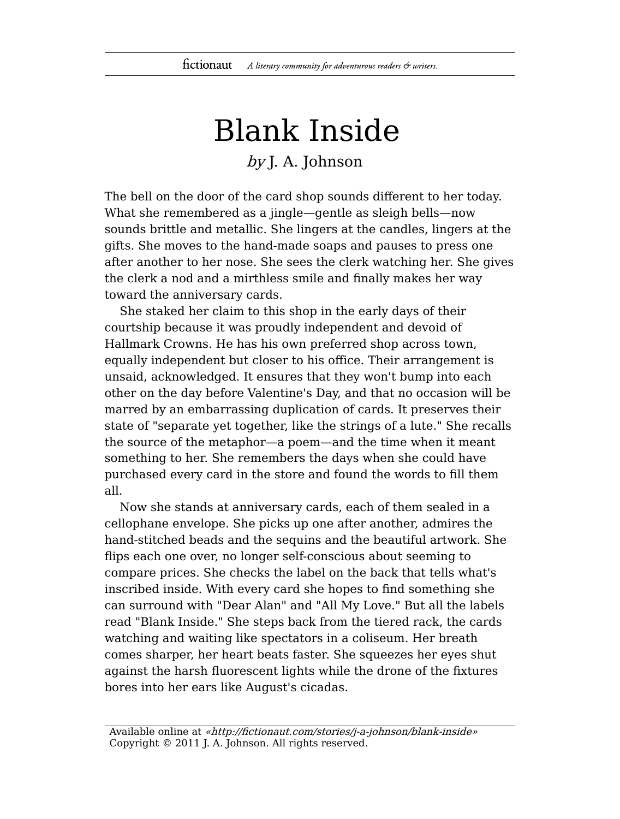## Blank Inside

## by J. A. Johnson

The bell on the door of the card shop sounds different to her today. What she remembered as a jingle—gentle as sleigh bells—now sounds brittle and metallic. She lingers at the candles, lingers at the gifts. She moves to the hand-made soaps and pauses to press one after another to her nose. She sees the clerk watching her. She gives the clerk a nod and a mirthless smile and finally makes her way toward the anniversary cards.

She staked her claim to this shop in the early days of their courtship because it was proudly independent and devoid of Hallmark Crowns. He has his own preferred shop across town, equally independent but closer to his office. Their arrangement is unsaid, acknowledged. It ensures that they won't bump into each other on the day before Valentine's Day, and that no occasion will be marred by an embarrassing duplication of cards. It preserves their state of "separate yet together, like the strings of a lute." She recalls the source of the metaphor—a poem—and the time when it meant something to her. She remembers the days when she could have purchased every card in the store and found the words to fill them all.

Now she stands at anniversary cards, each of them sealed in a cellophane envelope. She picks up one after another, admires the hand-stitched beads and the sequins and the beautiful artwork. She flips each one over, no longer self-conscious about seeming to compare prices. She checks the label on the back that tells what's inscribed inside. With every card she hopes to find something she can surround with "Dear Alan" and "All My Love." But all the labels read "Blank Inside." She steps back from the tiered rack, the cards watching and waiting like spectators in a coliseum. Her breath comes sharper, her heart beats faster. She squeezes her eyes shut against the harsh fluorescent lights while the drone of the fixtures bores into her ears like August's cicadas.

Available online at «http://fictionaut.com/stories/j-a-johnson/blank-inside» Copyright © 2011 J. A. Johnson. All rights reserved.